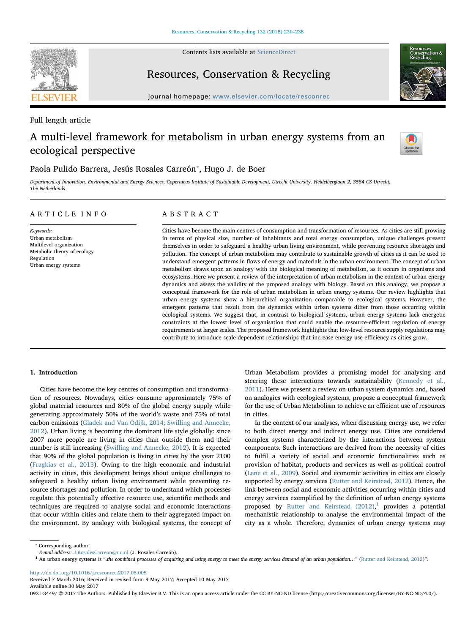Contents lists available at [ScienceDirect](http://www.sciencedirect.com/science/journal/09213449)



journal homepage: [www.elsevier.com/locate/resconrec](http://www.elsevier.com/locate/resconrec)

Full length article

# A multi-level framework for metabolism in urban energy systems from an ecological perspective



## Paola Pulido Barrera, Jesús Rosales Carreón<sup>\*</sup>, Hugo J. de Boer

Department of Innovation, Environmental and Energy Sciences, Copernicus Institute of Sustainable Development, Utrecht University, Heidelberglaan 2, 3584 CS Utrecht, The Netherlands

## ARTICLE INFO

Keywords: Urban metabolism Multilevel organization Metabolic theory of ecology Regulation Urban energy systems

## ABSTRACT

Cities have become the main centres of consumption and transformation of resources. As cities are still growing in terms of physical size, number of inhabitants and total energy consumption, unique challenges present themselves in order to safeguard a healthy urban living environment, while preventing resource shortages and pollution. The concept of urban metabolism may contribute to sustainable growth of cities as it can be used to understand emergent patterns in flows of energy and materials in the urban environment. The concept of urban metabolism draws upon an analogy with the biological meaning of metabolism, as it occurs in organisms and ecosystems. Here we present a review of the interpretation of urban metabolism in the context of urban energy dynamics and assess the validity of the proposed analogy with biology. Based on this analogy, we propose a conceptual framework for the role of urban metabolism in urban energy systems. Our review highlights that urban energy systems show a hierarchical organization comparable to ecological systems. However, the emergent patterns that result from the dynamics within urban systems differ from those occurring within ecological systems. We suggest that, in contrast to biological systems, urban energy systems lack energetic constraints at the lowest level of organisation that could enable the resource-efficient regulation of energy requirements at larger scales. The proposed framework highlights that low-level resource supply regulations may contribute to introduce scale-dependent relationships that increase energy use efficiency as cities grow.

## 1. Introduction

Cities have become the key centres of consumption and transformation of resources. Nowadays, cities consume approximately 75% of global material resources and 80% of the global energy supply while generating approximately 50% of the world's waste and 75% of total carbon emissions ([Gladek and Van Odijk, 2014; Swilling and Annecke,](#page-7-0) [2012\)](#page-7-0). Urban living is becoming the dominant life style globally: since 2007 more people are living in cities than outside them and their number is still increasing [\(Swilling and Annecke, 2012](#page-8-0)). It is expected that 90% of the global population is living in cities by the year 2100 ([Fragkias et al., 2013\)](#page-7-1). Owing to the high economic and industrial activity in cities, this development brings about unique challenges to safeguard a healthy urban living environment while preventing resource shortages and pollution. In order to understand which processes regulate this potentially effective resource use, scientific methods and techniques are required to analyse social and economic interactions that occur within cities and relate them to their aggregated impact on the environment. By analogy with biological systems, the concept of

Urban Metabolism provides a promising model for analysing and steering these interactions towards sustainability ([Kennedy et al.,](#page-8-1) [2011\)](#page-8-1). Here we present a review on urban system dynamics and, based on analogies with ecological systems, propose a conceptual framework for the use of Urban Metabolism to achieve an efficient use of resources in cities.

In the context of our analyses, when discussing energy use, we refer to both direct energy and indirect energy use. Cities are considered complex systems characterized by the interactions between system components. Such interactions are derived from the necessity of cities to fulfil a variety of social and economic functionalities such as provision of habitat, products and services as well as political control ([Lane et al., 2009](#page-8-2)). Social and economic activities in cities are closely supported by energy services ([Rutter and Keirstead, 2012\)](#page-8-3). Hence, the link between social and economic activities occurring within cities and energy services exemplified by the definition of urban energy systems proposed by [Rutter and Keirstead \(2012\),](#page-8-3) [1](#page-0-1) provides a potential mechanistic relationship to analyse the environmental impact of the city as a whole. Therefore, dynamics of urban energy systems may

<span id="page-0-0"></span>⁎ Corresponding author.

<http://dx.doi.org/10.1016/j.resconrec.2017.05.005>

Received 7 March 2016; Received in revised form 9 May 2017; Accepted 10 May 2017 Available online 30 May 2017

0921-3449/ © 2017 The Authors. Published by Elsevier B.V. This is an open access article under the CC BY-NC-ND license (http://creativecommons.org/licenses/BY-NC-ND/4.0/).



<span id="page-0-1"></span>

E-mail address: [J.RosalesCarreon@uu.nl](mailto:J.RosalesCarreon@uu.nl) (J. Rosales Carreón).<br><sup>1</sup> An urban energy systems is ".the combined processes of acquiring and using energy to meet the energy services demand of an urban population..." (Rutter and K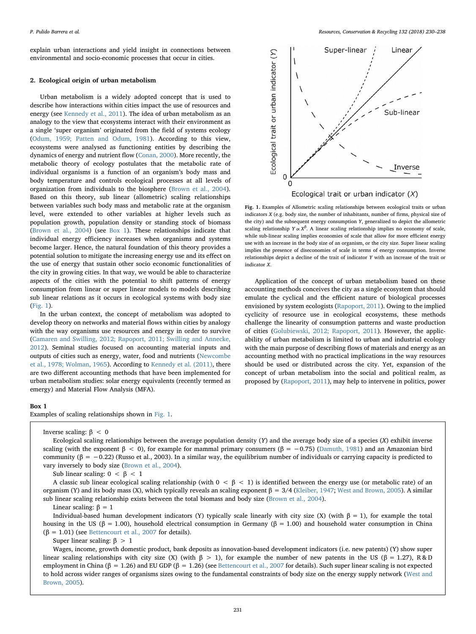explain urban interactions and yield insight in connections between environmental and socio-economic processes that occur in cities.

#### 2. Ecological origin of urban metabolism

Urban metabolism is a widely adopted concept that is used to describe how interactions within cities impact the use of resources and energy (see [Kennedy et al., 2011\)](#page-8-1). The idea of urban metabolism as an analogy to the view that ecosystems interact with their environment as a single 'super organism' originated from the field of systems ecology ([Odum, 1959; Patten and Odum, 1981\)](#page-8-4). According to this view, ecosystems were analysed as functioning entities by describing the dynamics of energy and nutrient flow [\(Conan, 2000\)](#page-7-2). More recently, the metabolic theory of ecology postulates that the metabolic rate of individual organisms is a function of an organism's body mass and body temperature and controls ecological processes at all levels of organization from individuals to the biosphere [\(Brown et al., 2004](#page-7-3)). Based on this theory, sub linear (allometric) scaling relationships between variables such body mass and metabolic rate at the organism level, were extended to other variables at higher levels such as population growth, population density or standing stock of biomass ([Brown et al., 2004\)](#page-7-3) (see [Box 1\)](#page-1-0). These relationships indicate that individual energy efficiency increases when organisms and systems become larger. Hence, the natural foundation of this theory provides a potential solution to mitigate the increasing energy use and its effect on the use of energy that sustain other socio economic functionalities of the city in growing cities. In that way, we would be able to characterize aspects of the cities with the potential to shift patterns of energy consumption from linear or super linear models to models describing sub linear relations as it occurs in ecological systems with body size ([Fig. 1\)](#page-1-1).

In the urban context, the concept of metabolism was adopted to develop theory on networks and material flows within cities by analogy with the way organisms use resources and energy in order to survive ([Camaren and Swilling, 2012; Rapoport, 2011; Swilling and Annecke,](#page-7-4) [2012\)](#page-7-4). Seminal studies focused on accounting material inputs and outputs of cities such as energy, water, food and nutrients ([Newcombe](#page-8-5) [et al., 1978; Wolman, 1965](#page-8-5)). According to [Kennedy et al. \(2011\),](#page-8-1) there are two different accounting methods that have been implemented for urban metabolism studies: solar energy equivalents (recently termed as emergy) and Material Flow Analysis (MFA).

<span id="page-1-1"></span>

Ecological trait or urban indicator  $(X)$ 

Fig. 1. Examples of Allometric scaling relationships between ecological traits or urban indicators X (e.g. body size, the number of inhabitants, number of firms, physical size of the city) and the subsequent energy consumption Y, generalized to depict the allometric scaling relationship  $Y \propto X^{\beta}$ . A linear scaling relationship implies no economy of scale, while sub-linear scaling implies economies of scale that allow for more efficient energy use with an increase in the body size of an organism, or the city size. Super linear scaling implies the presence of diseconomies of scale in terms of energy consumption. Inverse relationships depict a decline of the trait of indicator Y with an increase of the trait or indicator X.

Application of the concept of urban metabolism based on these accounting methods conceives the city as a single ecosystem that should emulate the cyclical and the efficient nature of biological processes envisioned by system ecologists ([Rapoport, 2011\)](#page-8-6). Owing to the implied cyclicity of resource use in ecological ecosystems, these methods challenge the linearity of consumption patterns and waste production of cities [\(Golubiewski, 2012; Rapoport, 2011](#page-7-5)). However, the applicability of urban metabolism is limited to urban and industrial ecology with the main purpose of describing flows of materials and energy as an accounting method with no practical implications in the way resources should be used or distributed across the city. Yet, expansion of the concept of urban metabolism into the social and political realm, as proposed by ([Rapoport, 2011\)](#page-8-6), may help to intervene in politics, power

#### <span id="page-1-0"></span>Box 1

Examples of scaling relationships shown in [Fig. 1.](#page-1-1)

Inverse scaling: β < 0

Ecological scaling relationships between the average population density  $(Y)$  and the average body size of a species  $(X)$  exhibit inverse scaling (with the exponent  $β < 0$ ), for example for mammal primary consumers ( $β = -0.75$ ) ([Damuth, 1981\)](#page-7-6) and an Amazonian bird community ( $β = -0.22$ ) (Russo et al., 2003). In a similar way, the equilibrium number of individuals or carrying capacity is predicted to vary inversely to body size [\(Brown et al., 2004\)](#page-7-3).

Sub linear scaling:  $0 < \beta < 1$ 

A classic sub linear ecological scaling relationship (with  $0 < \beta < 1$ ) is identified between the energy use (or metabolic rate) of an organism (Y) and its body mass (X), which typically reveals an scaling exponent β = 3/4 ([Kleiber, 1947](#page-8-7); [West and Brown, 2005](#page-8-8)). A similar sub linear scaling relationship exists between the total biomass and body size [\(Brown et al., 2004\)](#page-7-3).

Linear scaling:  $\beta = 1$ 

Individual-based human development indicators (Y) typically scale linearly with city size (X) (with β = 1), for example the total housing in the US (β = 1.00), household electrical consumption in Germany (β = 1.00) and household water consumption in China ( $\beta$  = 1.01) (see [Bettencourt et al., 2007](#page-7-7) for details).

Super linear scaling:  $\beta > 1$ 

Wages, income, growth domestic product, bank deposits as innovation-based development indicators (i.e. new patents) (Y) show super linear scaling relationships with city size (X) (with  $β > 1$ ), for example the number of new patents in the US ( $β = 1.27$ ), R & D employment in China ( $\beta = 1.26$ ) and EU GDP ( $\beta = 1.26$ ) (see [Bettencourt et al., 2007](#page-7-7) for details). Such super linear scaling is not expected to hold across wider ranges of organisms sizes owing to the fundamental constraints of body size on the energy supply network ([West and](#page-8-8) [Brown, 2005\)](#page-8-8).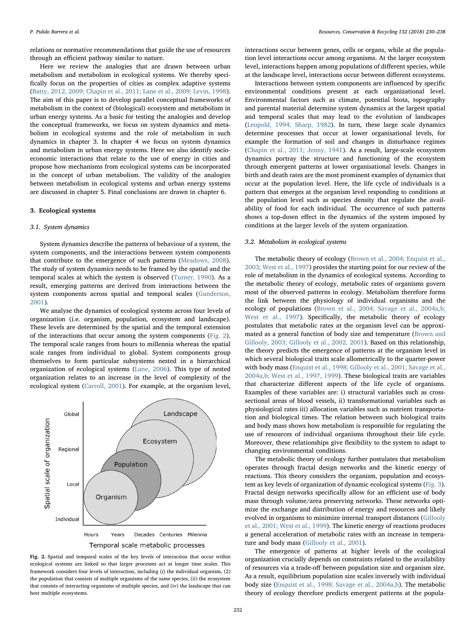relations or normative recommendations that guide the use of resources through an efficient pathway similar to nature.

Here we review the analogies that are drawn between urban metabolism and metabolism in ecological systems. We thereby specifically focus on the properties of cities as complex adaptive systems ([Batty, 2012, 2009; Chapin et al., 2011; Lane et al., 2009; Levin, 1998](#page-7-8)). The aim of this paper is to develop parallel conceptual frameworks of metabolism in the context of (biological) ecosystem and metabolism in urban energy systems. As a basic for testing the analogies and develop the conceptual frameworks, we focus on system dynamics and metabolism in ecological systems and the role of metabolism in such dynamics in chapter 3. In chapter 4 we focus on system dynamics and metabolism in urban energy systems. Here we also identify socioeconomic interactions that relate to the use of energy in cities and propose how mechanisms from ecological systems can be incorporated in the concept of urban metabolism. The validity of the analogies between metabolism in ecological systems and urban energy systems are discussed in chapter 5. Final conclusions are drawn in chapter 6.

#### 3. Ecological systems

#### 3.1. System dynamics

System dynamics describe the patterns of behaviour of a system, the system components, and the interactions between system components that contribute to the emergence of such patterns ([Meadows, 2008](#page-8-9)). The study of system dynamics needs to be framed by the spatial and the temporal scales at which the system is observed ([Turner, 1990\)](#page-8-10). As a result, emerging patterns are derived from interactions between the system components across spatial and temporal scales [\(Gunderson,](#page-7-9) [2001\)](#page-7-9).

We analyse the dynamics of ecological systems across four levels of organization (i.e. organism, population, ecosystem and landscape). These levels are determined by the spatial and the temporal extension of the interactions that occur among the system components ([Fig. 2](#page-2-0)). The temporal scale ranges from hours to millennia whereas the spatial scale ranges from individual to global. System components group themselves to form particular subsystems nested in a hierarchical organization of ecological systems ([Lane, 2006](#page-8-11)). This type of nested organization relates to an increase in the level of complexity of the ecological system ([Carroll, 2001](#page-7-10)). For example, at the organism level,

<span id="page-2-0"></span>

Fig. 2. Spatial and temporal scales of the key levels of interaction that occur within ecological systems are linked so that larger processes act at longer time scales. This framework considers four levels of interaction, including (i) the individual organism, (2) the population that consists of multiple organisms of the same species, (ii) the ecosystem that consists of interacting organisms of multiple species, and (iv) the landscape that can host multiple ecosystems.

interactions occur between genes, cells or organs, while at the population level interactions occur among organisms. At the larger ecosystem level, interactions happen among populations of different species, while at the landscape level, interactions occur between different ecosystems.

Interactions between system components are influenced by specific environmental conditions present at each organizational level. Environmental factors such as climate, potential biota, topography and parental material determine system dynamics at the largest spatial and temporal scales that may lead to the evolution of landscapes ([Leopold, 1994; Sharp, 1982](#page-8-12)). In turn, these large scale dynamics determine processes that occur at lower organisational levels, for example the formation of soil and changes in disturbance regimes ([Chapin et al., 2011; Jenny, 1941\)](#page-7-11). As a result, large-scale ecosystem dynamics portray the structure and functioning of the ecosystem through emergent patterns at lower organisational levels. Changes in birth and death rates are the most prominent examples of dynamics that occur at the population level. Here, the life cycle of individuals is a pattern that emerges at the organism level responding to conditions at the population level such as species density that regulate the availability of food for each individual. The occurrence of such patterns shows a top-down effect in the dynamics of the system imposed by conditions at the larger levels of the system organization.

#### 3.2. Metabolism in ecological systems

The metabolic theory of ecology ([Brown et al., 2004; Enquist et al.,](#page-7-3) [2003; West et al., 1997](#page-7-3)) provides the starting point for our review of the role of metabolism in the dynamics of ecological systems. According to the metabolic theory of ecology, metabolic rates of organisms govern most of the observed patterns in ecology. Metabolism therefore forms the link between the physiology of individual organisms and the ecology of populations ([Brown et al., 2004; Savage et al., 2004a,b;](#page-7-3) West [et al., 1997](#page-7-3)). Specifically, the metabolic theory of ecology postulates that metabolic rates at the organism level can be approximated as a general function of body size and temperature ([Brown and](#page-7-12) [Gillooly, 2003; Gillooly et al., 2002, 2001\)](#page-7-12). Based on this relationship, the theory predicts the emergence of patterns at the organism level in which several biological traits scale allometrically to the quarter-power with body mass [\(Enquist et al., 1998; Gillooly et al., 2001; Savage et al.,](#page-7-13) [2004a,b; West et al., 1997, 1999](#page-7-13)). These biological traits are variables that characterize different aspects of the life cycle of organisms. Examples of these variables are: i) structural variables such as crosssectional areas of blood vessels, ii) transformational variables such as physiological rates iii) allocation variables such as nutrient transportation and biological times. The relation between such biological traits and body mass shows how metabolism is responsible for regulating the use of resources of individual organisms throughout their life cycle. Moreover, these relationships give flexibility to the system to adapt to changing environmental conditions.

The metabolic theory of ecology further postulates that metabolism operates through fractal design networks and the kinetic energy of reactions. This theory considers the organism, population and ecosystem as key levels of organization of dynamic ecological systems ([Fig. 3](#page-3-0)). Fractal design networks specifically allow for an efficient use of body mass through volume/area preserving networks. These networks optimize the exchange and distribution of energy and resources and likely evolved in organisms to minimize internal transport distances ([Gillooly](#page-7-14) [et al., 2001; West et al., 1999\)](#page-7-14). The kinetic energy of reactions produces a general acceleration of metabolic rates with an increase in temperature and body mass [\(Gillooly et al., 2001\)](#page-7-14).

The emergence of patterns at higher levels of the ecological organization crucially depends on constraints related to the availability of resources via a trade-off between population size and organism size. As a result, equilibrium population size scales inversely with individual body size ([Enquist et al., 1998; Savage et al., 2004a,b](#page-7-13)). The metabolic theory of ecology therefore predicts emergent patterns at the popula-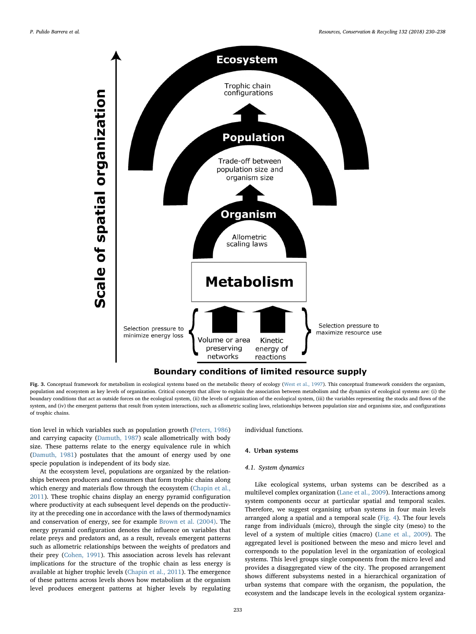<span id="page-3-0"></span>

Fig. 3. Conceptual framework for metabolism in ecological systems based on the metabolic theory of ecology ([West et al., 1997](#page-8-14)). This conceptual framework considers the organism, population and ecosystem as key levels of organization. Critical concepts that allow to explain the association between metabolism and the dynamics of ecological systems are: (i) the boundary conditions that act as outside forces on the ecological system, (ii) the levels of organization of the ecological system, (iii) the variables representing the stocks and flows of the system, and (iv) the emergent patterns that result from system interactions, such as allometric scaling laws, relationships between population size and organisms size, and configurations of trophic chains.

tion level in which variables such as population growth [\(Peters, 1986\)](#page-8-13) and carrying capacity ([Damuth, 1987](#page-7-15)) scale allometrically with body size. These patterns relate to the energy equivalence rule in which ([Damuth, 1981](#page-7-6)) postulates that the amount of energy used by one specie population is independent of its body size.

At the ecosystem level, populations are organized by the relationships between producers and consumers that form trophic chains along which energy and materials flow through the ecosystem [\(Chapin et al.,](#page-7-11) [2011\)](#page-7-11). These trophic chains display an energy pyramid configuration where productivity at each subsequent level depends on the productivity at the preceding one in accordance with the laws of thermodynamics and conservation of energy, see for example [Brown et al. \(2004\)](#page-7-3). The energy pyramid configuration denotes the influence on variables that relate preys and predators and, as a result, reveals emergent patterns such as allometric relationships between the weights of predators and their prey [\(Cohen, 1991](#page-7-16)). This association across levels has relevant implications for the structure of the trophic chain as less energy is available at higher trophic levels ([Chapin et al., 2011](#page-7-11)). The emergence of these patterns across levels shows how metabolism at the organism level produces emergent patterns at higher levels by regulating individual functions.

#### 4. Urban systems

#### <span id="page-3-1"></span>4.1. System dynamics

Like ecological systems, urban systems can be described as a multilevel complex organization ([Lane et al., 2009\)](#page-8-2). Interactions among system components occur at particular spatial and temporal scales. Therefore, we suggest organising urban systems in four main levels arranged along a spatial and a temporal scale ([Fig. 4](#page-4-0)). The four levels range from individuals (micro), through the single city (meso) to the level of a system of multiple cities (macro) ([Lane et al., 2009\)](#page-8-2). The aggregated level is positioned between the meso and micro level and corresponds to the population level in the organization of ecological systems. This level groups single components from the micro level and provides a disaggregated view of the city. The proposed arrangement shows different subsystems nested in a hierarchical organization of urban systems that compare with the organism, the population, the ecosystem and the landscape levels in the ecological system organiza-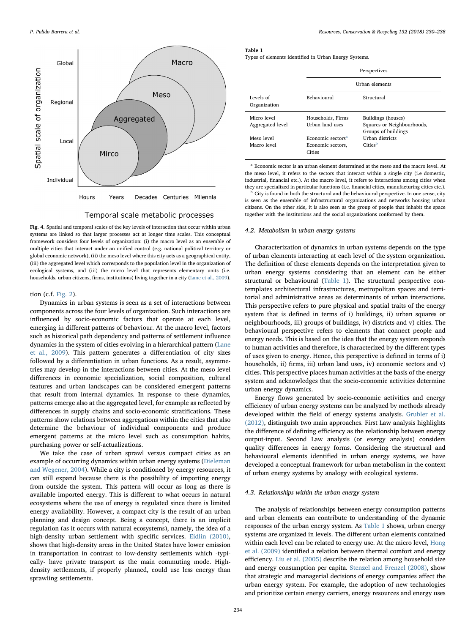<span id="page-4-0"></span>

#### Temporal scale metabolic processes

Fig. 4. Spatial and temporal scales of the key levels of interaction that occur within urban systems are linked so that larger processes act at longer time scales. This conceptual framework considers four levels of organization: (i) the macro level as an ensemble of multiple cities that interact under an unified control (e.g. national political territory or global economic network), (ii) the meso level where this city acts as a geographical entity, (iii) the aggregated level which corresponds to the population level in the organization of ecological systems, and (iii) the micro level that represents elementary units (i.e. households, urban citizens, firms, institutions) living together in a city [\(Lane et al., 2009](#page-8-2)).

#### tion (c.f. [Fig. 2\)](#page-2-0).

Dynamics in urban systems is seen as a set of interactions between components across the four levels of organization. Such interactions are influenced by socio-economic factors that operate at each level, emerging in different patterns of behaviour. At the macro level, factors such as historical path dependency and patterns of settlement influence dynamics in the system of cities evolving in a hierarchical pattern ([Lane](#page-8-2) [et al., 2009](#page-8-2)). This pattern generates a differentiation of city sizes followed by a differentiation in urban functions. As a result, asymmetries may develop in the interactions between cities. At the meso level differences in economic specialization, social composition, cultural features and urban landscapes can be considered emergent patterns that result from internal dynamics. In response to these dynamics, patterns emerge also at the aggregated level, for example as reflected by differences in supply chains and socio-economic stratifications. These patterns show relations between aggregations within the cities that also determine the behaviour of individual components and produce emergent patterns at the micro level such as consumption habits, purchasing power or self-actualizations.

We take the case of urban sprawl versus compact cities as an example of occurring dynamics within urban energy systems [\(Dieleman](#page-7-17) [and Wegener, 2004](#page-7-17)). While a city is conditioned by energy resources, it can still expand because there is the possibility of importing energy from outside the system. This pattern will occur as long as there is available imported energy. This is different to what occurs in natural ecosystems where the use of energy is regulated since there is limited energy availability. However, a compact city is the result of an urban planning and design concept. Being a concept, there is an implicit regulation (as it occurs with natural ecosystems), namely, the idea of a high-density urban settlement with specific services. [Eidlin \(2010\)](#page-7-18), shows that high-density areas in the United States have lower emission in transportation in contrast to low-density settlements which -typically- have private transport as the main commuting mode. Highdensity settlements, if properly planned, could use less energy than sprawling settlements.

## <span id="page-4-1"></span>Table 1

|                                 | Perspectives                                                 |                                                                         |
|---------------------------------|--------------------------------------------------------------|-------------------------------------------------------------------------|
|                                 | Urban elements                                               |                                                                         |
| Levels of<br>Organization       | <b>Behavioural</b>                                           | Structural                                                              |
| Micro level<br>Aggregated level | Households, Firms<br>Urban land uses                         | Buildings (houses)<br>Squares or Neighbourhoods,<br>Groups of buildings |
| Meso level<br>Macro level       | Economic sectors <sup>a</sup><br>Economic sectors.<br>Cities | Urban districts<br>Cities <sup>b</sup>                                  |

<span id="page-4-2"></span><sup>a</sup> Economic sector is an urban element determined at the meso and the macro level. At the meso level, it refers to the sectors that interact within a single city (i.e domestic, industrial, financial etc.). At the macro level, it refers to interactions among cities when they are specialized in particular functions (i.e. financial cities, manufacturing cities etc.).

<span id="page-4-3"></span><sup>b</sup> City is found in both the structural and the behavioural perspective. In one sense, city is seen as the ensemble of infrastructural organizations and networks housing urban citizens. On the other side, it is also seen as the group of people that inhabit the space together with the institutions and the social organizations conformed by them.

#### 4.2. Metabolism in urban energy systems

Characterization of dynamics in urban systems depends on the type of urban elements interacting at each level of the system organization. The definition of these elements depends on the interpretation given to urban energy systems considering that an element can be either structural or behavioural [\(Table 1\)](#page-4-1). The structural perspective contemplates architectural infrastructures, metropolitan spaces and territorial and administrative areas as determinants of urban interactions. This perspective refers to pure physical and spatial traits of the energy system that is defined in terms of i) buildings, ii) urban squares or neighbourhoods, iii) groups of buildings, iv) districts and v) cities. The behavioural perspective refers to elements that connect people and energy needs. This is based on the idea that the energy system responds to human activities and therefore, is characterized by the different types of uses given to energy. Hence, this perspective is defined in terms of i) households, ii) firms, iii) urban land uses, iv) economic sectors and v) cities. This perspective places human activities at the basis of the energy system and acknowledges that the socio-economic activities determine urban energy dynamics.

Energy flows generated by socio-economic activities and energy efficiency of urban energy systems can be analyzed by methods already developed within the field of energy systems analysis. [Grubler et al.](#page-7-19) [\(2012\),](#page-7-19) distinguish two main approaches. First Law analysis highlights the difference of defining efficiency as the relationship between energy output-input. Second Law analysis (or exergy analysis) considers quality differences in energy forms. Considering the structural and behavioural elements identified in urban energy systems, we have developed a conceptual framework for urban metabolism in the context of urban energy systems by analogy with ecological systems.

#### <span id="page-4-4"></span>4.3. Relationships within the urban energy system

The analysis of relationships between energy consumption patterns and urban elements can contribute to understanding of the dynamic responses of the urban energy system. As [Table 1](#page-4-1) shows, urban energy systems are organized in levels. The different urban elements contained within each level can be related to energy use. At the micro level, [Hong](#page-7-20) [et al. \(2009\)](#page-7-20) identified a relation between thermal comfort and energy efficiency. [Liu et al. \(2005\)](#page-8-15) describe the relation among household size and energy consumption per capita. [Stenzel and Frenzel \(2008\)](#page-8-16), show that strategic and managerial decisions of energy companies affect the urban energy system. For example, the adoption of new technologies and prioritize certain energy carriers, energy resources and energy uses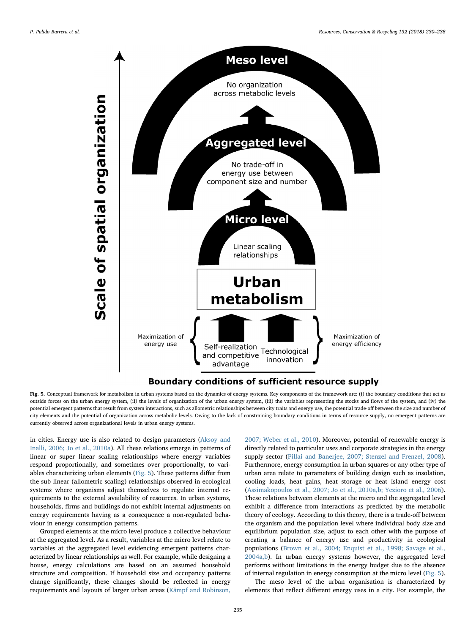<span id="page-5-0"></span>

Fig. 5. Conceptual framework for metabolism in urban systems based on the dynamics of energy systems. Key components of the framework are: (i) the boundary conditions that act as outside forces on the urban energy system, (ii) the levels of organization of the urban energy system, (iii) the variables representing the stocks and flows of the system, and (iv) the potential emergent patterns that result from system interactions, such as allometric relationships between city traits and energy use, the potential trade-off between the size and number of city elements and the potential of organization across metabolic levels. Owing to the lack of constraining boundary conditions in terms of resource supply, no emergent patterns are currently observed across organizational levels in urban energy systems.

in cities. Energy use is also related to design parameters ([Aksoy and](#page-7-21) [Inalli, 2006; Jo et al., 2010a\)](#page-7-21). All these relations emerge in patterns of linear or super linear scaling relationships where energy variables respond proportionally, and sometimes over proportionally, to variables characterizing urban elements ([Fig. 5\)](#page-5-0). These patterns differ from the sub linear (allometric scaling) relationships observed in ecological systems where organisms adjust themselves to regulate internal requirements to the external availability of resources. In urban systems, households, firms and buildings do not exhibit internal adjustments on energy requirements having as a consequence a non-regulated behaviour in energy consumption patterns.

Grouped elements at the micro level produce a collective behaviour at the aggregated level. As a result, variables at the micro level relate to variables at the aggregated level evidencing emergent patterns characterized by linear relationships as well. For example, while designing a house, energy calculations are based on an assumed household structure and composition. If household size and occupancy patterns change significantly, these changes should be reflected in energy requirements and layouts of larger urban areas ([Kämpf and Robinson,](#page-8-17)

[2007; Weber et al., 2010\)](#page-8-17). Moreover, potential of renewable energy is directly related to particular uses and corporate strategies in the energy supply sector [\(Pillai and Banerjee, 2007; Stenzel and Frenzel, 2008](#page-8-18)). Furthermore, energy consumption in urban squares or any other type of urban area relate to parameters of building design such as insolation, cooling loads, heat gains, heat storage or heat island energy cost ([Assimakopoulos et al., 2007; Jo et al., 2010a,b; Yezioro et al., 2006](#page-7-22)). These relations between elements at the micro and the aggregated level exhibit a difference from interactions as predicted by the metabolic theory of ecology. According to this theory, there is a trade-off between the organism and the population level where individual body size and equilibrium population size, adjust to each other with the purpose of creating a balance of energy use and productivity in ecological populations ([Brown et al., 2004; Enquist et al., 1998; Savage et al.,](#page-7-3) [2004a,b](#page-7-3)). In urban energy systems however, the aggregated level performs without limitations in the energy budget due to the absence of internal regulation in energy consumption at the micro level ([Fig. 5](#page-5-0)).

The meso level of the urban organisation is characterized by elements that reflect different energy uses in a city. For example, the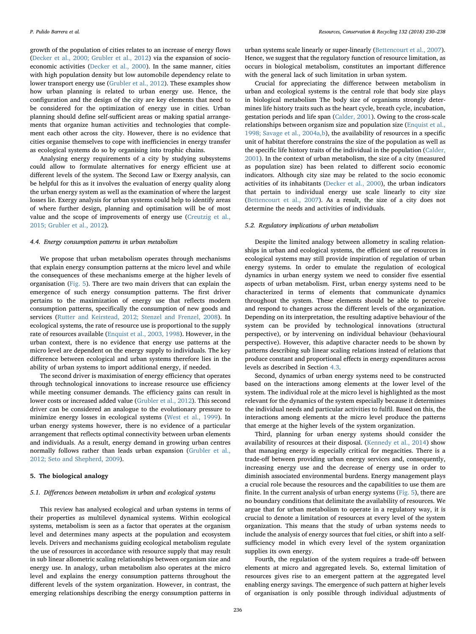growth of the population of cities relates to an increase of energy flows ([Decker et al., 2000; Grubler et al., 2012](#page-7-23)) via the expansion of socioeconomic activities ([Decker et al., 2000\)](#page-7-23). In the same manner, cities with high population density but low automobile dependency relate to lower transport energy use ([Grubler et al., 2012\)](#page-7-19). These examples show how urban planning is related to urban energy use. Hence, the configuration and the design of the city are key elements that need to be considered for the optimization of energy use in cities. Urban planning should define self-sufficient areas or making spatial arrangements that organize human activities and technologies that complement each other across the city. However, there is no evidence that cities organise themselves to cope with inefficiencies in energy transfer as ecological systems do so by organising into trophic chains.

Analysing energy requirements of a city by studying subsystems could allow to formulate alternatives for energy efficient use at different levels of the system. The Second Law or Exergy analysis, can be helpful for this as it involves the evaluation of energy quality along the urban energy system as well as the examination of where the largest losses lie. Exergy analysis for urban systems could help to identify areas of where further design, planning and optimisation will be of most value and the scope of improvements of energy use ([Creutzig et al.,](#page-7-24) [2015; Grubler et al., 2012\)](#page-7-24).

#### 4.4. Energy consumption patterns in urban metabolism

We propose that urban metabolism operates through mechanisms that explain energy consumption patterns at the micro level and while the consequences of these mechanisms emerge at the higher levels of organisation [\(Fig. 5\)](#page-5-0). There are two main drivers that can explain the emergence of such energy consumption patterns. The first driver pertains to the maximization of energy use that reflects modern consumption patterns, specifically the consumption of new goods and services ([Rutter and Keirstead, 2012; Stenzel and Frenzel, 2008\)](#page-8-3). In ecological systems, the rate of resource use is proportional to the supply rate of resources available ([Enquist et al., 2003, 1998](#page-7-25)). However, in the urban context, there is no evidence that energy use patterns at the micro level are dependent on the energy supply to individuals. The key difference between ecological and urban systems therefore lies in the ability of urban systems to import additional energy, if needed.

The second driver is maximisation of energy efficiency that operates through technological innovations to increase resource use efficiency while meeting consumer demands. The efficiency gains can result in lower costs or increased added value [\(Grubler et al., 2012](#page-7-19)). This second driver can be considered an analogue to the evolutionary pressure to minimize energy losses in ecological systems ([West et al., 1999\)](#page-8-19). In urban energy systems however, there is no evidence of a particular arrangement that reflects optimal connectivity between urban elements and individuals. As a result, energy demand in growing urban centres normally follows rather than leads urban expansion [\(Grubler et al.,](#page-7-19) [2012; Seto and Shepherd, 2009\)](#page-7-19).

#### 5. The biological analogy

#### 5.1. Differences between metabolism in urban and ecological systems

This review has analysed ecological and urban systems in terms of their properties as multilevel dynamical systems. Within ecological systems, metabolism is seen as a factor that operates at the organism level and determines many aspects at the population and ecosystem levels. Drivers and mechanisms guiding ecological metabolism regulate the use of resources in accordance with resource supply that may result in sub linear allometric scaling relationships between organism size and energy use. In analogy, urban metabolism also operates at the micro level and explains the energy consumption patterns throughout the different levels of the system organization. However, in contrast, the emerging relationships describing the energy consumption patterns in

urban systems scale linearly or super-linearly ([Bettencourt et al., 2007](#page-7-7)). Hence, we suggest that the regulatory function of resource limitation, as occurs in biological metabolism, constitutes an important difference with the general lack of such limitation in urban system.

Crucial for appreciating the difference between metabolism in urban and ecological systems is the central role that body size plays in biological metabolism The body size of organisms strongly determines life history traits such as the heart cycle, breath cycle, incubation, gestation periods and life span [\(Calder, 2001\)](#page-7-26). Owing to the cross-scale relationships between organism size and population size ([Enquist et al.,](#page-7-13) [1998; Savage et al., 2004a,b](#page-7-13)), the availability of resources in a specific unit of habitat therefore constrains the size of the population as well as the specific life history traits of the individual in the population ([Calder,](#page-7-26) [2001\)](#page-7-26). In the context of urban metabolism, the size of a city (measured as population size) has been related to different socio economic indicators. Although city size may be related to the socio economic activities of its inhabitants ([Decker et al., 2000\)](#page-7-23), the urban indicators that pertain to individual energy use scale linearly to city size ([Bettencourt et al., 2007\)](#page-7-7). As a result, the size of a city does not determine the needs and activities of individuals.

#### 5.2. Regulatory implications of urban metabolism

Despite the limited analogy between allometry in scaling relationships in urban and ecological systems, the efficient use of resources in ecological systems may still provide inspiration of regulation of urban energy systems. In order to emulate the regulation of ecological dynamics in urban energy system we need to consider five essential aspects of urban metabolism. First, urban energy systems need to be characterized in terms of elements that communicate dynamics throughout the system. These elements should be able to perceive and respond to changes across the different levels of the organization. Depending on its interpretation, the resulting adaptive behaviour of the system can be provided by technological innovations (structural perspective), or by intervening on individual behaviour (behavioural perspective). However, this adaptive character needs to be shown by patterns describing sub linear scaling relations instead of relations that produce constant and proportional effects in energy expenditures across levels as described in Section [4.3.](#page-4-4)

Second, dynamics of urban energy systems need to be constructed based on the interactions among elements at the lower level of the system. The individual role at the micro level is highlighted as the most relevant for the dynamics of the system especially because it determines the individual needs and particular activities to fulfil. Based on this, the interactions among elements at the micro level produce the patterns that emerge at the higher levels of the system organization.

Third, planning for urban energy systems should consider the availability of resources at their disposal. [\(Kennedy et al., 2014\)](#page-8-20) show that managing energy is especially critical for megacities. There is a trade-off between providing urban energy services and, consequently, increasing energy use and the decrease of energy use in order to diminish associated environmental burdens. Energy management plays a crucial role because the resources and the capabilities to use them are finite. In the current analysis of urban energy systems [\(Fig.](#page-5-0) 5), there are no boundary conditions that delimitate the availability of resources. We argue that for urban metabolism to operate in a regulatory way, it is crucial to denote a limitation of resources at every level of the system organization. This means that the study of urban systems needs to include the analysis of energy sources that fuel cities, or shift into a selfsufficiency model in which every level of the system organization supplies its own energy.

Fourth, the regulation of the system requires a trade-off between elements at micro and aggregated levels. So, external limitation of resources gives rise to an emergent pattern at the aggregated level enabling energy savings. The emergence of such pattern at higher levels of organisation is only possible through individual adjustments of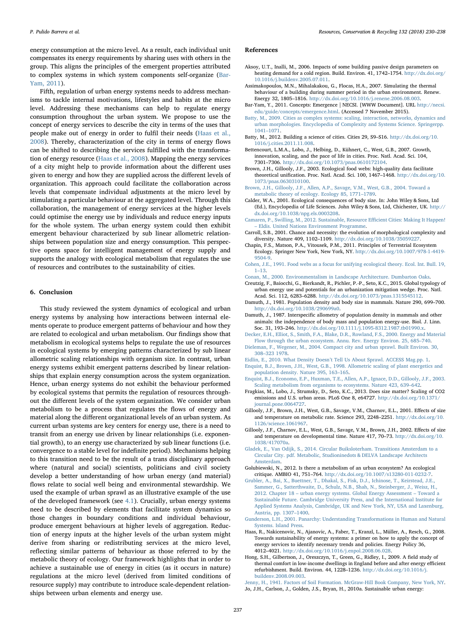energy consumption at the micro level. As a result, each individual unit compensates its energy requirements by sharing uses with others in the group. This aligns the principles of the emergent properties attributed to complex systems in which system components self-organize [\(Bar-](#page-7-27)[Yam, 2011](#page-7-27)).

Fifth, regulation of urban energy systems needs to address mechanisms to tackle internal motivations, lifestyles and habits at the micro level. Addressing these mechanisms can help to regulate energy consumption throughout the urban system. We propose to use the concept of energy services to describe the city in terms of the uses that people make out of energy in order to fulfil their needs ([Haas et al.,](#page-7-28) [2008\)](#page-7-28). Thereby, characterization of the city in terms of energy flows can be shifted to describing the services fulfilled with the transformation of energy resource [\(Haas et al., 2008\)](#page-7-28). Mapping the energy services of a city might help to provide information about the different uses given to energy and how they are supplied across the different levels of organization. This approach could facilitate the collaboration across levels that compensate individual adjustments at the micro level by stimulating a particular behaviour at the aggregated level. Through this collaboration, the management of energy services at the higher levels could optimise the energy use by individuals and reduce energy inputs for the whole system. The urban energy system could then exhibit emergent behaviour characterized by sub linear allometric relationships between population size and energy consumption. This perspective opens space for intelligent management of energy supply and supports the analogy with ecological metabolism that regulates the use of resources and contributes to the sustainability of cities.

#### 6. Conclusion

This study reviewed the system dynamics of ecological and urban energy systems by analysing how interactions between internal elements operate to produce emergent patterns of behaviour and how they are related to ecological and urban metabolism. Our findings show that metabolism in ecological systems helps to regulate the use of resources in ecological systems by emerging patterns characterized by sub linear allometric scaling relationships with organism size. In contrast, urban energy systems exhibit emergent patterns described by linear relationships that explain energy consumption across the system organization. Hence, urban energy systems do not exhibit the behaviour performed by ecological systems that permits the regulation of resources throughout the different levels of the system organization. We consider urban metabolism to be a process that regulates the flows of energy and material along the different organizational levels of an urban system. As current urban systems are key centers for energy use, there is a need to transit from an energy use driven by linear relationships (i.e. exponential growth), to an energy use characterized by sub linear functions (i.e. convergence to a stable level for indefinite period). Mechanisms helping to this transition need to be the result of a trans disciplinary approach where (natural and social) scientists, politicians and civil society develop a better understanding of how urban energy (and material) flows relate to social well being and environmental stewardship. We used the example of urban sprawl as an illustrative example of the use of the developed framework (see [4.1\)](#page-3-1). Crucially, urban energy systems need to be described by elements that facilitate system dynamics so those changes in boundary conditions and individual behaviour, produce emergent behaviours at higher levels of aggregation. Reduction of energy inputs at the higher levels of the urban system might derive from sharing or redistributing services at the micro level, reflecting similar patterns of behaviour as those referred to by the metabolic theory of ecology. Our framework highlights that in order to achieve a sustainable use of energy in cities (as it occurs in nature) regulations at the micro level (derived from limited conditions of resource supply) may contribute to introduce scale-dependent relationships between urban elements and energy use.

#### References

- <span id="page-7-21"></span>Aksoy, U.T., Inalli, M., 2006. Impacts of some building passive design parameters on heating demand for a cold region. Build. Environ. 41, 1742–1754. [http://dx.doi.org/](http://dx.doi.org/10.1016/j.buildenv.2005.07.011) [10.1016/j.buildenv.2005.07.011](http://dx.doi.org/10.1016/j.buildenv.2005.07.011).
- <span id="page-7-22"></span>Assimakopoulos, M.N., Mihalakakou, G., Flocas, H.A., 2007. Simulating the thermal behaviour of a building during summer period in the urban environment. Renew. Energy 32, 1805–1816. [http://dx.doi.org/10.1016/j.renene.2006.08.003.](http://dx.doi.org/10.1016/j.renene.2006.08.003)
- <span id="page-7-27"></span>Bar-Yam, Y., 2011. Concepts: Emergence | NECSI. [WWW Document]. URL [http://necsi.](http://necsi.edu/guide/concepts/emergence.html) [edu/guide/concepts/emergence.html.](http://necsi.edu/guide/concepts/emergence.html) (Accessed 7 November 2015).
- [Batty, M., 2009. Cities as complex systems: scaling, interaction, networks, dynamics and](http://refhub.elsevier.com/S0921-3449(17)30119-2/sbref0020) [urban morphologies. Encyclopedia of Complexity and Systems Science. Springerpp.](http://refhub.elsevier.com/S0921-3449(17)30119-2/sbref0020) 1041–[1071](http://refhub.elsevier.com/S0921-3449(17)30119-2/sbref0020).
- <span id="page-7-8"></span>Batty, M., 2012. Building a science of cities. Cities 29, S9–S16. [http://dx.doi.org/10.](http://dx.doi.org/10.1016/j.cities.2011.11.008) [1016/j.cities.2011.11.008](http://dx.doi.org/10.1016/j.cities.2011.11.008).
- <span id="page-7-7"></span>Bettencourt, L.M.A., Lobo, J., Helbing, D., Kühnert, C., West, G.B., 2007. Growth, innovation, scaling, and the pace of life in cities. Proc. Natl. Acad. Sci. 104, 7301–7306. [http://dx.doi.org/10.1073/pnas.0610172104.](http://dx.doi.org/10.1073/pnas.0610172104)
- <span id="page-7-12"></span>Brown, J.H., Gillooly, J.F., 2003. Ecological food webs: high-quality data facilitate theoretical unification. Proc. Natl. Acad. Sci. 100, 1467–1468. [http://dx.doi.org/10.](http://dx.doi.org/10.1073/pnas.0630310100) [1073/pnas.0630310100.](http://dx.doi.org/10.1073/pnas.0630310100)
- <span id="page-7-3"></span>[Brown, J.H., Gillooly, J.F., Allen, A.P., Savage, V.M., West, G.B., 2004. Toward a](http://refhub.elsevier.com/S0921-3449(17)30119-2/sbref0040) [metabolic theory of ecology. Ecology 85, 1771](http://refhub.elsevier.com/S0921-3449(17)30119-2/sbref0040)–1789.
- <span id="page-7-26"></span>Calder, W.A., 2001. Ecological consequences of body size. In: John Wiley & Sons, Ltd (Ed.), Encyclopedia of Life Sciences. John Wiley & Sons, Ltd, Chichester, UK. [http://](http://dx.doi.org/10.1038/npg.els.0003208) [dx.doi.org/10.1038/npg.els.0003208.](http://dx.doi.org/10.1038/npg.els.0003208)
- <span id="page-7-4"></span>[Camaren, P., Swilling, M., 2012. Sustainable, Resource E](http://refhub.elsevier.com/S0921-3449(17)30119-2/sbref0050)fficient Cities: Making It Happen! – [Eldis. United Nations Environment Programme.](http://refhub.elsevier.com/S0921-3449(17)30119-2/sbref0050)
- <span id="page-7-10"></span>Carroll, S.B., 2001. Chance and necessity: the evolution of morphological complexity and diversity. Nature 409, 1102–1109. <http://dx.doi.org/10.1038/35059227>.
- <span id="page-7-11"></span>Chapin, F.S., Matson, P.A., Vitousek, P.M., 2011. Principles of Terrestrial Ecosystem Ecology. Springer New York, New York, NY. [http://dx.doi.org/10.1007/978-1-4419-](http://dx.doi.org/10.1007/978-1-4419-9504-9) [9504-9.](http://dx.doi.org/10.1007/978-1-4419-9504-9)
- <span id="page-7-16"></span>[Cohen, J.E., 1991. Food webs as a focus for unifying ecological theory. Ecol. Int. Bull. 19,](http://refhub.elsevier.com/S0921-3449(17)30119-2/sbref0065) 1–[13.](http://refhub.elsevier.com/S0921-3449(17)30119-2/sbref0065)
- <span id="page-7-2"></span>[Conan, M., 2000. Environmentalism in Landscape Architecture. Dumbarton Oaks.](http://refhub.elsevier.com/S0921-3449(17)30119-2/sbref0070)
- <span id="page-7-24"></span>Creutzig, F., Baiocchi, G., Bierkandt, R., Pichler, P.-P., Seto, K.C., 2015. Global typology of urban energy use and potentials for an urbanization mitigation wedge. Proc. Natl. Acad. Sci. 112, 6283–6288. [http://dx.doi.org/10.1073/pnas.1315545112.](http://dx.doi.org/10.1073/pnas.1315545112)
- <span id="page-7-6"></span>Damuth, J., 1981. Population density and body size in mammals. Nature 290, 699–700. [http://dx.doi.org/10.1038/290699a0.](http://dx.doi.org/10.1038/290699a0)
- <span id="page-7-15"></span>Damuth, J., 1987. Interspecific allometry of population density in mammals and other animals: the independence of body mass and population energy-use. Biol. J. Linn. Soc. 31, 193-246. [http://dx.doi.org/10.1111/j.1095-8312.1987.tb01990.x.](http://dx.doi.org/10.1111/j.1095-8312.1987.tb01990.x)
- <span id="page-7-23"></span>[Decker, E.H., Elliot, S., Smith, F.A., Blake, D.R., Rowland, F.S., 2000. Energy and Material](http://refhub.elsevier.com/S0921-3449(17)30119-2/sbref0090) [Flow through the urban ecosystem. Annu. Rev. Energy Environ. 25, 685](http://refhub.elsevier.com/S0921-3449(17)30119-2/sbref0090)–740.
- <span id="page-7-17"></span>Dieleman, [F., Wegener, M., 2004. Compact city and urban sprawl. Built Environ. 30,](http://refhub.elsevier.com/S0921-3449(17)30119-2/sbref0095) 308–[323 1978.](http://refhub.elsevier.com/S0921-3449(17)30119-2/sbref0095)
- <span id="page-7-18"></span>Eidlin, E., 2010. What Density Doesn'[t Tell Us About Sprawl. ACCESS Mag.pp. 1](http://refhub.elsevier.com/S0921-3449(17)30119-2/sbref0100).
- <span id="page-7-13"></span>[Enquist, B.J., Brown, J.H., West, G.B., 1998. Allometric scaling of plant energetics and](http://refhub.elsevier.com/S0921-3449(17)30119-2/sbref0105) [population density. Nature 395, 163](http://refhub.elsevier.com/S0921-3449(17)30119-2/sbref0105)–165.
- <span id="page-7-25"></span>[Enquist, B.J., Economo, E.P., Huxman, T.E., Allen, A.P., Ignace, D.D., Gillooly, J.F., 2003.](http://refhub.elsevier.com/S0921-3449(17)30119-2/sbref0110)
- <span id="page-7-1"></span>[Scaling metabolism from organisms to ecosystems. Nature 423, 639](http://refhub.elsevier.com/S0921-3449(17)30119-2/sbref0110)–642. Fragkias, M., Lobo, J., Strumsky, D., Seto, K.C., 2013. Does size matter? Scaling of CO2 emissions and U.S. urban areas. PLoS One 8, e64727. [http://dx.doi.org/10.1371/](http://dx.doi.org/10.1371/journal.pone.0064727) [journal.pone.0064727](http://dx.doi.org/10.1371/journal.pone.0064727).
- <span id="page-7-14"></span>Gillooly, J.F., Brown, J.H., West, G.B., Savage, V.M., Charnov, E.L., 2001. Effects of size and temperature on metabolic rate. Science 293, 2248–2251. [http://dx.doi.org/10.](http://dx.doi.org/10.1126/science.1061967) [1126/science.1061967](http://dx.doi.org/10.1126/science.1061967).
- Gillooly, J.F., Charnov, E.L., West, G.B., Savage, V.M., Brown, J.H., 2002. Effects of size and temperature on developmental time. Nature 417, 70–73. [http://dx.doi.org/10.](http://dx.doi.org/10.1038/417070a) [1038/417070a.](http://dx.doi.org/10.1038/417070a)
- <span id="page-7-0"></span>[Gladek, E., Van Odijk, S., 2014. Circular Buiksloterham. Transitions Amsterdam to a](http://refhub.elsevier.com/S0921-3449(17)30119-2/sbref0130) [Circular City. pdf. Metabolic, Studioninedots & DELVA Landscape Architects](http://refhub.elsevier.com/S0921-3449(17)30119-2/sbref0130) [Amsterdam.](http://refhub.elsevier.com/S0921-3449(17)30119-2/sbref0130)
- <span id="page-7-5"></span>Golubiewski, N., 2012. Is there a metabolism of an urban ecosystem? An ecological critique. AMBIO 41, 751–764. [http://dx.doi.org/10.1007/s13280-011-0232-7.](http://dx.doi.org/10.1007/s13280-011-0232-7)
- <span id="page-7-19"></span>[Grubler, A., Bai, X., Buettner, T., Dhakal, S., Fisk, D.J., Ichinose, T., Keirstead, J.E.,](http://refhub.elsevier.com/S0921-3449(17)30119-2/sbref0140) [Sammer, G., Satterthwaite, D., Schulz, N.B., Shah, N., Steinberger, J., Weisz, H.,](http://refhub.elsevier.com/S0921-3449(17)30119-2/sbref0140) 2012. Chapter 18 – [urban energy systems. Global Energy Assessment](http://refhub.elsevier.com/S0921-3449(17)30119-2/sbref0140) – Toward a [Sustainable Future. Cambridge University Press, and the International Institute for](http://refhub.elsevier.com/S0921-3449(17)30119-2/sbref0140) [Applied Systems Analysis, Cambridge, UK and New York, NY, USA and Laxenburg,](http://refhub.elsevier.com/S0921-3449(17)30119-2/sbref0140) [Austria, pp. 1307](http://refhub.elsevier.com/S0921-3449(17)30119-2/sbref0140)–1400.
- <span id="page-7-9"></span>[Gunderson, L.H., 2001. Panarchy: Understanding Transformations in Human and Natural](http://refhub.elsevier.com/S0921-3449(17)30119-2/sbref0145) [Systems. Island Press](http://refhub.elsevier.com/S0921-3449(17)30119-2/sbref0145).
- <span id="page-7-28"></span>Haas, R., Nakicenovic, N., Ajanovic, A., Faber, T., Kranzl, L., Müller, A., Resch, G., 2008. Towards sustainability of energy systems: a primer on how to apply the concept of energy services to identify necessary trends and policies. Energy Policy 36, 4012–4021. <http://dx.doi.org/10.1016/j.enpol.2008.06.028>.
- <span id="page-7-20"></span>Hong, S.H., Gilbertson, J., Oreszczyn, T., Green, G., Ridley, I., 2009. A field study of thermal comfort in low-income dwellings in England before and after energy efficient refurbishment. Build. Environ. 44, 1228–1236. [http://dx.doi.org/10.1016/j.](http://dx.doi.org/10.1016/j.buildenv.2008.09.003) [buildenv.2008.09.003.](http://dx.doi.org/10.1016/j.buildenv.2008.09.003)
- [Jenny, H., 1941. Factors of Soil Formation. McGraw-Hill Book Company, New York, NY.](http://refhub.elsevier.com/S0921-3449(17)30119-2/sbref0160) Jo, J.H., Carlson, J., Golden, J.S., Bryan, H., 2010a. Sustainable urban energy: